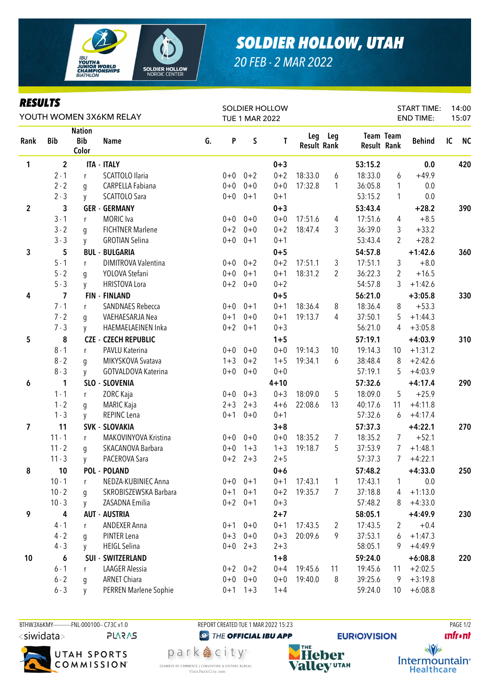

## **SOLDIER HOLLOW, UTAH**

20 FEB - 2 MAR 2022

| <b>RESULTS</b><br>YOUTH WOMEN 3X6KM RELAY |                |                                      |                             |    |                       |         | <b>SOLDIER HOLLOW</b> |                    |         |         | <b>START TIME:</b>              | 14:00         |    |           |
|-------------------------------------------|----------------|--------------------------------------|-----------------------------|----|-----------------------|---------|-----------------------|--------------------|---------|---------|---------------------------------|---------------|----|-----------|
|                                           |                |                                      |                             |    | <b>TUE 1 MAR 2022</b> |         |                       |                    |         |         | <b>END TIME:</b>                | 15:07         |    |           |
| Rank                                      | <b>Bib</b>     | <b>Nation</b><br><b>Bib</b><br>Color | <b>Name</b>                 | G. | P                     | S       | T                     | <b>Result Rank</b> | Leg Leg |         | Team Team<br><b>Result Rank</b> | <b>Behind</b> | IC | <b>NC</b> |
| 1                                         | $\overline{2}$ |                                      | <b>ITA - ITALY</b>          |    |                       |         | $0 + 3$               |                    |         | 53:15.2 |                                 | 0.0           |    | 420       |
|                                           | $2 - 1$        | r                                    | <b>SCATTOLO Ilaria</b>      |    | $0 + 0$               | $0 + 2$ | $0 + 2$               | 18:33.0            | 6       | 18:33.0 | 6                               | $+49.9$       |    |           |
|                                           | $2 - 2$        | g                                    | CARPELLA Fabiana            |    | $0 + 0$               | $0 + 0$ | $0 + 0$               | 17:32.8            | 1       | 36:05.8 | 1                               | 0.0           |    |           |
|                                           | $2 - 3$        | y                                    | SCATTOLO Sara               |    | $0 + 0$               | $0 + 1$ | $0 + 1$               |                    |         | 53:15.2 | 1                               | 0.0           |    |           |
| $\overline{2}$                            | 3              |                                      | <b>GER - GERMANY</b>        |    |                       |         | $0 + 3$               |                    |         | 53:43.4 |                                 | $+28.2$       |    | 390       |
|                                           | $3 - 1$        | r                                    | <b>MORIC</b> Iva            |    | $0+0$                 | $0 + 0$ | $0 + 0$               | 17:51.6            | 4       | 17:51.6 | 4                               | $+8.5$        |    |           |
|                                           | $3 - 2$        | q                                    | <b>FICHTNER Marlene</b>     |    | $0 + 2$               | $0 + 0$ | $0 + 2$               | 18:47.4            | 3       | 36:39.0 | 3                               | $+33.2$       |    |           |
|                                           | $3 - 3$        | y                                    | <b>GROTIAN Selina</b>       |    | $0+0$                 | $0 + 1$ | $0 + 1$               |                    |         | 53:43.4 | 2                               | $+28.2$       |    |           |
| 3                                         | 5              |                                      | <b>BUL - BULGARIA</b>       |    |                       |         | $0 + 5$               |                    |         | 54:57.8 |                                 | $+1:42.6$     |    | 360       |
|                                           | $5 - 1$        | r                                    | DIMITROVA Valentina         |    | $0 + 0$               | $0 + 2$ | $0 + 2$               | 17:51.1            | 3       | 17:51.1 | 3                               | $+8.0$        |    |           |
|                                           | $5 - 2$        | q                                    | YOLOVA Stefani              |    | $0 + 0$               | $0 + 1$ | $0 + 1$               | 18:31.2            | 2       | 36:22.3 | 2                               | $+16.5$       |    |           |
|                                           | $5 - 3$        | V                                    | <b>HRISTOVA Lora</b>        |    | $0 + 2$               | $0 + 0$ | $0 + 2$               |                    |         | 54:57.8 | 3                               | $+1:42.6$     |    |           |
| 4                                         | $\overline{7}$ |                                      | <b>FIN - FINLAND</b>        |    |                       |         | $0 + 5$               |                    |         | 56:21.0 |                                 | $+3:05.8$     |    | 330       |
|                                           | $7 - 1$        | r                                    | <b>SANDNAES Rebecca</b>     |    | $0+0$                 | $0 + 1$ | $0 + 1$               | 18:36.4            | 8       | 18:36.4 | 8                               | $+53.3$       |    |           |
|                                           | $7 - 2$        | q                                    | VAEHAESARJA Nea             |    | $0 + 1$               | $0 + 0$ | $0 + 1$               | 19:13.7            | 4       | 37:50.1 | 5.                              | $+1:44.3$     |    |           |
|                                           | $7 - 3$        | V                                    | HAEMAELAEINEN Inka          |    | $0 + 2$               | $0 + 1$ | $0 + 3$               |                    |         | 56:21.0 | 4                               | $+3:05.8$     |    |           |
| 5                                         | 8              |                                      | <b>CZE - CZECH REPUBLIC</b> |    |                       |         | $1 + 5$               |                    |         | 57:19.1 |                                 | $+4:03.9$     |    | 310       |
|                                           | $8 - 1$        | r                                    | PAVLU Katerina              |    | $0+0$                 | $0 + 0$ | $0 + 0$               | 19:14.3            | 10      | 19:14.3 | 10                              | $+1:31.2$     |    |           |
|                                           | $8 - 2$        | g                                    | MIKYSKOVA Svatava           |    | $1 + 3$               | $0 + 2$ | $1 + 5$               | 19:34.1            | 6       | 38:48.4 | 8                               | $+2:42.6$     |    |           |
|                                           | $8 - 3$        | y                                    | GOTVALDOVA Katerina         |    | $0 + 0$               | $0 + 0$ | $0 + 0$               |                    |         | 57:19.1 | 5                               | $+4:03.9$     |    |           |
| 6                                         | 1              |                                      | SLO - SLOVENIA              |    |                       |         | $4 + 10$              |                    |         | 57:32.6 |                                 | $+4:17.4$     |    | 290       |
|                                           | $1 - 1$        | r                                    | <b>ZORC Kaja</b>            |    | $0+0$                 | $0 + 3$ | $0 + 3$               | 18:09.0            | 5       | 18:09.0 | 5                               | $+25.9$       |    |           |
|                                           | $1 - 2$        | g                                    | <b>MARIC Kaja</b>           |    | $2 + 3$               | $2 + 3$ | $4 + 6$               | 22:08.6            | 13      | 40:17.6 | 11                              | $+4:11.8$     |    |           |
|                                           | $1 - 3$        | y                                    | REPINC Lena                 |    | $0 + 1$               | $0 + 0$ | $0 + 1$               |                    |         | 57:32.6 | 6                               | $+4:17.4$     |    |           |
| 7                                         | 11             |                                      | <b>SVK - SLOVAKIA</b>       |    |                       |         | $3 + 8$               |                    |         | 57:37.3 |                                 | $+4:22.1$     |    | 270       |
|                                           | $11 - 1$       | r                                    | MAKOVINYOVA Kristina        |    | $0+0$                 | $0 + 0$ | $0 + 0$               | 18:35.2            | 7       | 18:35.2 | $7\overline{ }$                 | $+52.1$       |    |           |
|                                           | $11 - 2$       | g                                    | SKACANOVA Barbara           |    | $0 + 0$               | $1 + 3$ | $1 + 3$               | 19:18.7            | 5       | 37:53.9 | 7                               | $+1:48.1$     |    |           |
|                                           | $11 - 3$       | y                                    | PACEROVA Sara               |    | $0 + 2$               | $2 + 3$ | $2 + 5$               |                    |         | 57:37.3 | $\overline{7}$                  | $+4:22.1$     |    |           |
| 8                                         | 10             |                                      | POL - POLAND                |    |                       |         | $0+6$                 |                    |         | 57:48.2 |                                 | $+4:33.0$     |    | 250       |
|                                           | $10 - 1$       | r                                    | NEDZA-KUBINIEC Anna         |    | $0+0$                 | $0 + 1$ | $0 + 1$               | 17:43.1            | 1       | 17:43.1 | 1                               | 0.0           |    |           |
|                                           | $10 - 2$       | q                                    | SKROBISZEWSKA Barbara       |    | $0 + 1$               | $0 + 1$ | $0 + 2$               | 19:35.7            | 7       | 37:18.8 | 4                               | $+1:13.0$     |    |           |
|                                           | $10 - 3$       | y                                    | ZASADNA Emilia              |    | $0 + 2$               | $0 + 1$ | $0 + 3$               |                    |         | 57:48.2 | 8                               | $+4:33.0$     |    |           |
| 9                                         | 4              |                                      | <b>AUT - AUSTRIA</b>        |    |                       |         | $2 + 7$               |                    |         | 58:05.1 |                                 | $+4:49.9$     |    | 230       |
|                                           | $4 - 1$        | r                                    | <b>ANDEXER Anna</b>         |    | $0 + 1$               | $0 + 0$ | $0 + 1$               | 17:43.5            | 2       | 17:43.5 | 2                               | $+0.4$        |    |           |
|                                           | $4 - 2$        | q                                    | PINTER Lena                 |    | $0 + 3$               | $0 + 0$ | $0 + 3$               | 20:09.6            | 9       | 37:53.1 | 6                               | $+1:47.3$     |    |           |
|                                           | $4 - 3$        | y                                    | <b>HEIGL Selina</b>         |    | $0+0$                 | $2 + 3$ | $2 + 3$               |                    |         | 58:05.1 | 9                               | $+4:49.9$     |    |           |
| 10                                        | 6              |                                      | <b>SUI - SWITZERLAND</b>    |    |                       |         | $1 + 8$               |                    |         | 59:24.0 |                                 | $+6:08.8$     |    | 220       |
|                                           | $6 - 1$        | r                                    | <b>LAAGER Alessia</b>       |    | $0 + 2$               | $0 + 2$ | $0 + 4$               | 19:45.6            | 11      | 19:45.6 | 11                              | $+2:02.5$     |    |           |
|                                           | $6 - 2$        | q                                    | <b>ARNET Chiara</b>         |    | $0+0$                 | $0 + 0$ | $0 + 0$               | 19:40.0            | 8       | 39:25.6 | 9                               | $+3:19.8$     |    |           |
|                                           | $6 - 3$        | V                                    | PERREN Marlene Sophie       |    | $0 + 1$               | $1 + 3$ | $1 + 4$               |                    |         | 59:24.0 | 10                              | $+6:08.8$     |    |           |

BTHW3X6KMY------------FNL-000100-- C73C v1.0 <siwidata> **PLARAS** 



REPORT CREATED TUE 1 MAR 2022 15:23 **@** THE OFFICIAL IBU APP

park 急 city<sup>®</sup>

CHAMBER OF COMMERCE | CONVENTION & VISITORS BUREAU

Visit Park City.com



**PAGE 1/2 unfront**